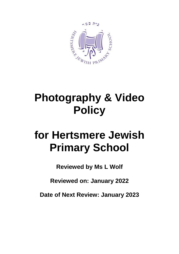

## **Photography & Video Policy**

# **for Hertsmere Jewish Primary School**

**Reviewed by Ms L Wolf**

**Reviewed on: January 2022**

**Date of Next Review: January 2023**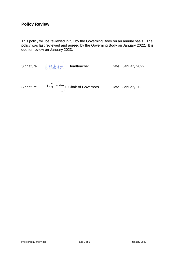#### **Policy Review**

This policy will be reviewed in full by the Governing Body on an annual basis. The policy was last reviewed and agreed by the Governing Body on January 2022. It is due for review on January 2023.